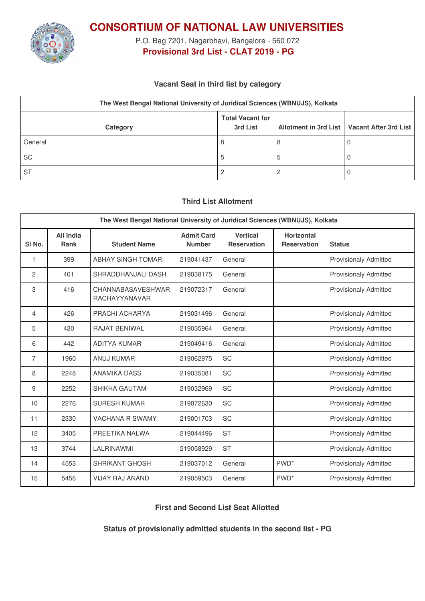

**CONSORTIUM OF NATIONAL LAW UNIVERSITIES**

P.O. Bag 7201, Nagarbhavi, Bangalore - 560 072 **Provisional 3rd List - CLAT 2019 - PG**

### **Vacant Seat in third list by category**

| The West Bengal National University of Juridical Sciences (WBNUJS), Kolkata |                                     |  |                                               |  |  |
|-----------------------------------------------------------------------------|-------------------------------------|--|-----------------------------------------------|--|--|
| Category                                                                    | <b>Total Vacant for</b><br>3rd List |  | Allotment in 3rd List   Vacant After 3rd List |  |  |
| General                                                                     | 8                                   |  |                                               |  |  |
| <b>SC</b>                                                                   | .5                                  |  |                                               |  |  |
| <b>ST</b>                                                                   |                                     |  |                                               |  |  |

### **Third List Allotment**

| The West Bengal National University of Juridical Sciences (WBNUJS), Kolkata |                                 |                                    |                                    |                                       |                                         |                              |  |
|-----------------------------------------------------------------------------|---------------------------------|------------------------------------|------------------------------------|---------------------------------------|-----------------------------------------|------------------------------|--|
| SI <sub>No.</sub>                                                           | <b>All India</b><br><b>Rank</b> | <b>Student Name</b>                | <b>Admit Card</b><br><b>Number</b> | <b>Vertical</b><br><b>Reservation</b> | <b>Horizontal</b><br><b>Reservation</b> | <b>Status</b>                |  |
| 1                                                                           | 399                             | <b>ABHAY SINGH TOMAR</b>           | 219041437                          | General                               |                                         | <b>Provisionaly Admitted</b> |  |
| 2                                                                           | 401                             | SHRADDHANJALI DASH                 | 219038175                          | General                               |                                         | <b>Provisionaly Admitted</b> |  |
| 3                                                                           | 416                             | CHANNABASAVESHWAR<br>RACHAYYANAVAR | 219072317                          | General                               |                                         | <b>Provisionaly Admitted</b> |  |
| 4                                                                           | 426                             | PRACHI ACHARYA                     | 219031496                          | General                               |                                         | <b>Provisionaly Admitted</b> |  |
| 5                                                                           | 430                             | <b>RAJAT BENIWAL</b>               | 219035964                          | General                               |                                         | <b>Provisionaly Admitted</b> |  |
| 6                                                                           | 442                             | <b>ADITYA KUMAR</b>                | 219049416                          | General                               |                                         | <b>Provisionaly Admitted</b> |  |
| 7                                                                           | 1960                            | <b>ANUJ KUMAR</b>                  | 219062975                          | <b>SC</b>                             |                                         | <b>Provisionaly Admitted</b> |  |
| 8                                                                           | 2248                            | <b>ANAMIKA DASS</b>                | 219035081                          | <b>SC</b>                             |                                         | <b>Provisionaly Admitted</b> |  |
| 9                                                                           | 2252                            | SHIKHA GAUTAM                      | 219032969                          | SC                                    |                                         | <b>Provisionaly Admitted</b> |  |
| 10                                                                          | 2276                            | <b>SURESH KUMAR</b>                | 219072630                          | <b>SC</b>                             |                                         | <b>Provisionaly Admitted</b> |  |
| 11                                                                          | 2330                            | <b>VACHANA R SWAMY</b>             | 219001703                          | <b>SC</b>                             |                                         | <b>Provisionaly Admitted</b> |  |
| 12                                                                          | 3405                            | PREETIKA NALWA                     | 219044496                          | <b>ST</b>                             |                                         | <b>Provisionaly Admitted</b> |  |
| 13                                                                          | 3744                            | LALRINAWMI                         | 219058929                          | <b>ST</b>                             |                                         | <b>Provisionaly Admitted</b> |  |
| 14                                                                          | 4553                            | <b>SHRIKANT GHOSH</b>              | 219037012                          | General                               | PWD <sup>*</sup>                        | <b>Provisionaly Admitted</b> |  |
| 15                                                                          | 5456                            | <b>VIJAY RAJ ANAND</b>             | 219059503                          | General                               | PWD <sup>*</sup>                        | <b>Provisionaly Admitted</b> |  |

## **First and Second List Seat Allotted**

**Status of provisionally admitted students in the second list - PG**